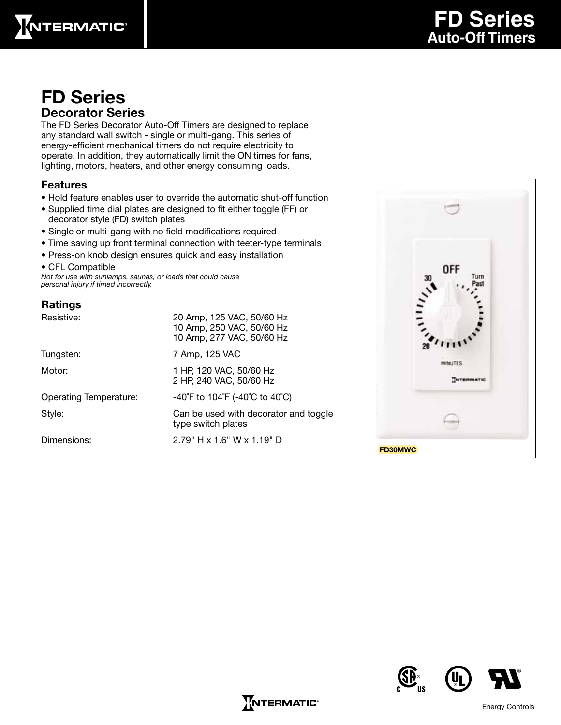

### FD Series Decorator Series

The FD Series Decorator Auto-Off Timers are designed to replace any standard wall switch - single or multi-gang. This series of energy-efficient mechanical timers do not require electricity to operate. In addition, they automatically limit the ON times for fans, lighting, motors, heaters, and other energy consuming loads.

#### Features

- Hold feature enables user to override the automatic shut-off function
- Supplied time dial plates are designed to fit either toggle (FF) or decorator style (FD) switch plates
- Single or multi-gang with no field modifications required
- Time saving up front terminal connection with teeter-type terminals
- Press-on knob design ensures quick and easy installation
- CFL Compatible

*Not for use with sunlamps, saunas, or loads that could cause personal injury if timed incorrectly.*

### Ratings

| Resistive:                    | 20 Amp, 125 VAC, 50/60 Hz<br>10 Amp, 250 VAC, 50/60 Hz<br>10 Amp, 277 VAC, 50/60 Hz |  |  |
|-------------------------------|-------------------------------------------------------------------------------------|--|--|
| Tungsten:                     | 7 Amp, 125 VAC                                                                      |  |  |
| Motor:                        | 1 HP, 120 VAC, 50/60 Hz<br>2 HP, 240 VAC, 50/60 Hz                                  |  |  |
| <b>Operating Temperature:</b> | -40°F to 104°F (-40°C to 40°C)                                                      |  |  |
| Style:                        | Can be used with decorator and toggle<br>type switch plates                         |  |  |
| Dimensions:                   | $2.79" H \times 1.6" W \times 1.19" D$                                              |  |  |







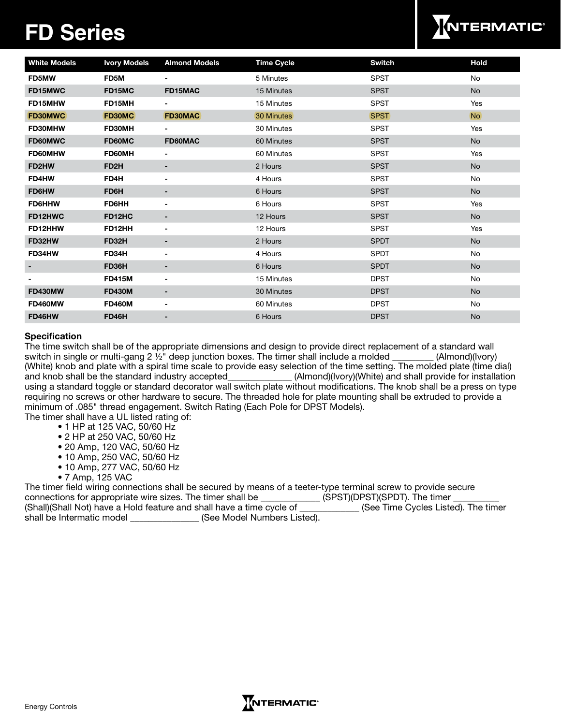# **FD Series**



| <b>White Models</b> | <b>Ivory Models</b> | <b>Almond Models</b>     | <b>Time Cycle</b> | Switch      | <b>Hold</b>    |
|---------------------|---------------------|--------------------------|-------------------|-------------|----------------|
| <b>FD5MW</b>        | FD5M                | $\overline{\phantom{0}}$ | 5 Minutes         | <b>SPST</b> | No             |
| FD15MWC             | FD15MC              | FD15MAC                  | 15 Minutes        | <b>SPST</b> | <b>No</b>      |
| FD15MHW             | FD15MH              | $\overline{\phantom{0}}$ | 15 Minutes        | <b>SPST</b> | Yes            |
| <b>FD30MWC</b>      | <b>FD30MC</b>       | <b>FD30MAC</b>           | 30 Minutes        | <b>SPST</b> | N <sub>o</sub> |
| FD30MHW             | FD30MH              | -                        | 30 Minutes        | <b>SPST</b> | Yes            |
| FD60MWC             | FD60MC              | FD60MAC                  | 60 Minutes        | <b>SPST</b> | No             |
| FD60MHW             | FD60MH              | -                        | 60 Minutes        | <b>SPST</b> | Yes            |
| FD2HW               | FD <sub>2</sub> H   |                          | 2 Hours           | <b>SPST</b> | <b>No</b>      |
| FD4HW               | FD4H                |                          | 4 Hours           | <b>SPST</b> | No             |
| FD6HW               | FD6H                | -                        | 6 Hours           | <b>SPST</b> | No             |
| <b>FD6HHW</b>       | <b>FD6HH</b>        |                          | 6 Hours           | <b>SPST</b> | Yes            |
| FD12HWC             | FD12HC              |                          | 12 Hours          | <b>SPST</b> | No             |
| FD12HHW             | FD12HH              |                          | 12 Hours          | <b>SPST</b> | Yes            |
| FD32HW              | <b>FD32H</b>        | $\blacksquare$           | 2 Hours           | <b>SPDT</b> | No             |
| FD34HW              | FD34H               |                          | 4 Hours           | <b>SPDT</b> | No             |
|                     | FD36H               | -                        | 6 Hours           | <b>SPDT</b> | <b>No</b>      |
|                     | <b>FD415M</b>       |                          | 15 Minutes        | <b>DPST</b> | No             |
| <b>FD430MW</b>      | <b>FD430M</b>       | $\blacksquare$           | 30 Minutes        | <b>DPST</b> | <b>No</b>      |
| FD460MW             | <b>FD460M</b>       | -                        | 60 Minutes        | <b>DPST</b> | No             |
| FD46HW              | <b>FD46H</b>        | -                        | 6 Hours           | <b>DPST</b> | <b>No</b>      |

#### **Specification**

The time switch shall be of the appropriate dimensions and design to provide direct replacement of a standard wall switch in single or multi-gang 2 ½" deep junction boxes. The timer shall include a molded \_\_\_\_\_\_\_\_\_ (Almond)(Ivory) (White) knob and plate with a spiral time scale to provide easy selection of the time setting. The molded plate (time dial) and knob shall be the standard industry accepted\_\_\_\_\_\_\_\_\_\_\_\_\_\_ (Almond)(Ivory)(White) and shall provide for installation using a standard toggle or standard decorator wall switch plate without modifications. The knob shall be a press on type requiring no screws or other hardware to secure. The threaded hole for plate mounting shall be extruded to provide a minimum of .085" thread engagement. Switch Rating (Each Pole for DPST Models).

The timer shall have a UL listed rating of:

- 1 HP at 125 VAC, 50/60 Hz
- 2 HP at 250 VAC, 50/60 Hz
- 20 Amp, 120 VAC, 50/60 Hz
- 10 Amp, 250 VAC, 50/60 Hz
- 10 Amp, 277 VAC, 50/60 Hz
- 7 Amp, 125 VAC

| The timer field wiring connections shall be secured by means of a teeter-type terminal screw to provide secure |                                     |
|----------------------------------------------------------------------------------------------------------------|-------------------------------------|
| connections for appropriate wire sizes. The timer shall be                                                     | (SPST)(DPST)(SPDT). The timer       |
| (Shall)(Shall Not) have a Hold feature and shall have a time cycle of                                          | (See Time Cycles Listed). The timer |
| (See Model Numbers Listed).<br>shall be Intermatic model                                                       |                                     |